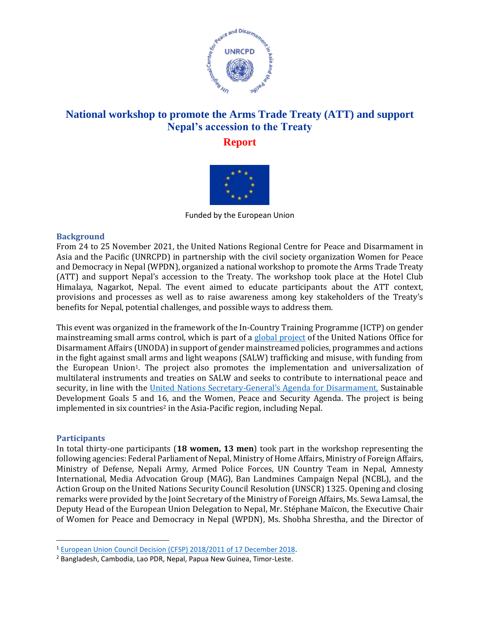

# **National workshop to promote the Arms Trade Treaty (ATT) and support Nepal's accession to the Treaty**

**Report** 



Funded by the European Union

# **Background**

From 24 to 25 November 2021, the United Nations Regional Centre for Peace and Disarmament in Asia and the Pacific (UNRCPD) in partnership with the civil society organization Women for Peace and Democracy in Nepal (WPDN), organized a national workshop to promote the Arms Trade Treaty (ATT) and support Nepal's accession to the Treaty. The workshop took place at the Hotel Club Himalaya, Nagarkot, Nepal. The event aimed to educate participants about the ATT context, provisions and processes as well as to raise awareness among key stakeholders of the Treaty's benefits for Nepal, potential challenges, and possible ways to address them.

This event was organized in the framework of the In-Country Training Programme (ICTP) on gender mainstreaming small arms control, which is part of a [global project](https://www.un.org/disarmament/gender-and-small-arms-control/) of the United Nations Office for Disarmament Affairs (UNODA) in support of gender mainstreamed policies, programmes and actions in the fight against small arms and light weapons (SALW) trafficking and misuse, with funding from the European Union1. The project also promotes the implementation and universalization of multilateral instruments and treaties on SALW and seeks to contribute to international peace and security, in line with the [United Nations Secretary-General's Agenda for Disarmament,](https://www.un.org/disarmament/sg-agenda/en/) Sustainable Development Goals 5 and 16, and the Women, Peace and Security Agenda. The project is being implemented in six countries<sup>2</sup> in the Asia-Pacific region, including Nepal.

# **Participants**

In total thirty-one participants (**18 women, 13 men**) took part in the workshop representing the following agencies: Federal Parliament of Nepal, Ministry of Home Affairs, Ministry of Foreign Affairs, Ministry of Defense, Nepali Army, Armed Police Forces, UN Country Team in Nepal, Amnesty International, Media Advocation Group (MAG), Ban Landmines Campaign Nepal (NCBL), and the Action Group on the United Nations Security Council Resolution (UNSCR) 1325. Opening and closing remarks were provided by the Joint Secretary of the Ministry of Foreign Affairs, Ms. Sewa Lamsal, the Deputy Head of the European Union Delegation to Nepal, Mr. Stéphane Maïcon, the Executive Chair of Women for Peace and Democracy in Nepal (WPDN), Ms. Shobha Shrestha, and the Director of

<sup>1</sup> [European Union Council Decision \(CFSP\) 2018/2011 of 17 December 2018.](https://eur-lex.europa.eu/legal-content/EN/TXT/PDF/?uri=CELEX:32018D2011)

<sup>2</sup> Bangladesh, Cambodia, Lao PDR, Nepal, Papua New Guinea, Timor-Leste.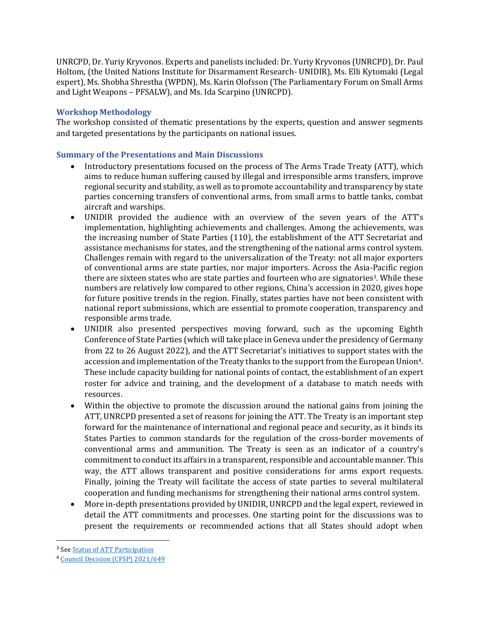UNRCPD, Dr. Yuriy Kryvonos. Experts and panelists included: Dr. Yuriy Kryvonos (UNRCPD), Dr. Paul Holtom, (the United Nations Institute for Disarmament Research- UNIDIR), Ms. Elli Kytomaki (Legal expert), Ms. Shobha Shrestha (WPDN), Ms. Karin Olofsson (The Parliamentary Forum on Small Arms and Light Weapons – PFSALW), and Ms. Ida Scarpino (UNRCPD).

# **Workshop Methodology**

The workshop consisted of thematic presentations by the experts, question and answer segments and targeted presentations by the participants on national issues.

# **Summary of the Presentations and Main Discussions**

- Introductory presentations focused on the process of The Arms Trade Treaty (ATT), which aims to reduce human suffering caused by illegal and irresponsible arms transfers, improve regional security and stability, as well as to promote accountability and transparency by state parties concerning transfers of conventional arms, from small arms to battle tanks, combat aircraft and warships.
- UNIDIR provided the audience with an overview of the seven years of the ATT's implementation, highlighting achievements and challenges. Among the achievements, was the increasing number of State Parties (110), the establishment of the ATT Secretariat and assistance mechanisms for states, and the strengthening of the national arms control system. Challenges remain with regard to the universalization of the Treaty: not all major exporters of conventional arms are state parties, nor major importers. Across the Asia-Pacific region there are sixteen states who are state parties and fourteen who are signatories<sup>3</sup>. While these numbers are relatively low compared to other regions, China's accession in 2020, gives hope for future positive trends in the region. Finally, states parties have not been consistent with national report submissions, which are essential to promote cooperation, transparency and responsible arms trade.
- UNIDIR also presented perspectives moving forward, such as the upcoming Eighth Conference of State Parties (which will take place in Geneva under the presidency of Germany from 22 to 26 August 2022), and the ATT Secretariat's initiatives to support states with the accession and implementation of the Treaty thanks to the support from the European Union<sup>4</sup>. These include capacity building for national points of contact, the establishment of an expert roster for advice and training, and the development of a database to match needs with resources.
- Within the objective to promote the discussion around the national gains from joining the ATT, UNRCPD presented a set of reasons for joining the ATT. The Treaty is an important step forward for the maintenance of international and regional peace and security, as it binds its States Parties to common standards for the regulation of the cross-border movements of conventional arms and ammunition. The Treaty is seen as an indicator of a country's commitment to conduct its affairs in a transparent, responsible and accountable manner. This way, the ATT allows transparent and positive considerations for arms export requests. Finally, joining the Treaty will facilitate the access of state parties to several multilateral cooperation and funding mechanisms for strengthening their national arms control system.
- More in-depth presentations provided by UNIDIR, UNRCPD and the legal expert, reviewed in detail the ATT commitments and processes. One starting point for the discussions was to present the requirements or recommended actions that all States should adopt when

<sup>&</sup>lt;sup>3</sup> See <u>[Status of ATT Participation](https://www.thearmstradetreaty.org/treaty-status.html?templateId=209883)</u>

<sup>4</sup> [Council Decision \(CFSP\) 2021/649](https://op.europa.eu/en/publication-detail/-/publication/862be9b0-a181-11eb-b85c-01aa75ed71a1/language-en/format-PDF)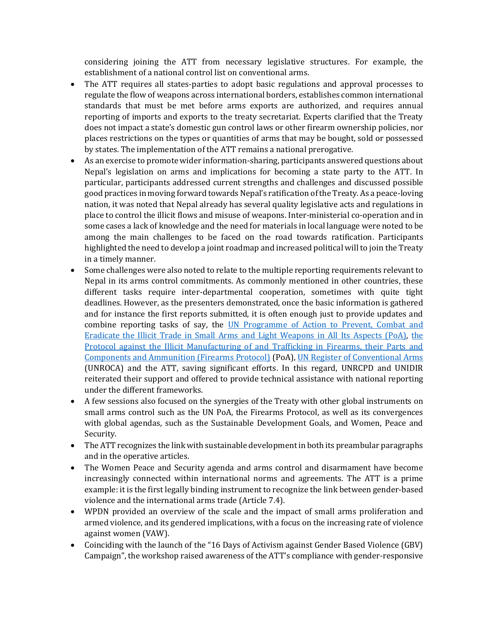considering joining the ATT from necessary legislative structures. For example, the establishment of a national control list on conventional arms.

- The ATT requires all states-parties to adopt basic regulations and approval processes to regulate the flow of weapons across international borders, establishes common international standards that must be met before arms exports are authorized, and requires annual reporting of imports and exports to the treaty secretariat. Experts clarified that the Treaty does not impact a state's domestic gun control laws or other firearm ownership policies, nor places restrictions on the types or quantities of arms that may be bought, sold or possessed by states. The implementation of the ATT remains a national prerogative.
- As an exercise to promote wider information-sharing, participants answered questions about Nepal's legislation on arms and implications for becoming a state party to the ATT. In particular, participants addressed current strengths and challenges and discussed possible good practices in moving forward towards Nepal's ratification of the Treaty. As a peace-loving nation, it was noted that Nepal already has several quality legislative acts and regulations in place to control the illicit flows and misuse of weapons. Inter-ministerial co-operation and in some cases a lack of knowledge and the need for materials in local language were noted to be among the main challenges to be faced on the road towards ratification. Participants highlighted the need to develop a joint roadmap and increased political will to join the Treaty in a timely manner.
- Some challenges were also noted to relate to the multiple reporting requirements relevant to Nepal in its arms control commitments. As commonly mentioned in other countries, these different tasks require inter-departmental cooperation, sometimes with quite tight deadlines. However, as the presenters demonstrated, once the basic information is gathered and for instance the first reports submitted, it is often enough just to provide updates and combine reporting tasks of say, the UN [Programme of Action to Prevent, Combat and](https://www.un.org/disarmament/convarms/salw/programme-of-action/)  [Eradicate the Illicit Trade in Small Arms and Light Weapons in All Its Aspects \(PoA\),](https://www.un.org/disarmament/convarms/salw/programme-of-action/) [the](https://www.unodc.org/unodc/en/firearms-protocol/the-firearms-protocol.html)  [Protocol against the Illicit Manufacturing of and Trafficking in Firearms, their Parts and](https://www.unodc.org/unodc/en/firearms-protocol/the-firearms-protocol.html)  [Components and Ammunition \(Firearms Protocol\)](https://www.unodc.org/unodc/en/firearms-protocol/the-firearms-protocol.html) (PoA)[, UN Register of Conventional Arms](https://www.unroca.org/) (UNROCA) and the ATT, saving significant efforts. In this regard, UNRCPD and UNIDIR reiterated their support and offered to provide technical assistance with national reporting under the different frameworks.
- A few sessions also focused on the synergies of the Treaty with other global instruments on small arms control such as the UN PoA, the Firearms Protocol, as well as its convergences with global agendas, such as the Sustainable Development Goals, and Women, Peace and Security.
- The ATT recognizes the link with sustainable development in both its preambular paragraphs and in the operative articles.
- The Women Peace and Security agenda and arms control and disarmament have become increasingly connected within international norms and agreements. The ATT is a prime example: it is the first legally binding instrument to recognize the link between gender-based violence and the international arms trade (Article 7.4).
- WPDN provided an overview of the scale and the impact of small arms proliferation and armed violence, and its gendered implications, with a focus on the increasing rate of violence against women (VAW).
- Coinciding with the launch of the "16 Days of Activism against Gender Based Violence (GBV) Campaign", the workshop raised awareness of the ATT's compliance with gender-responsive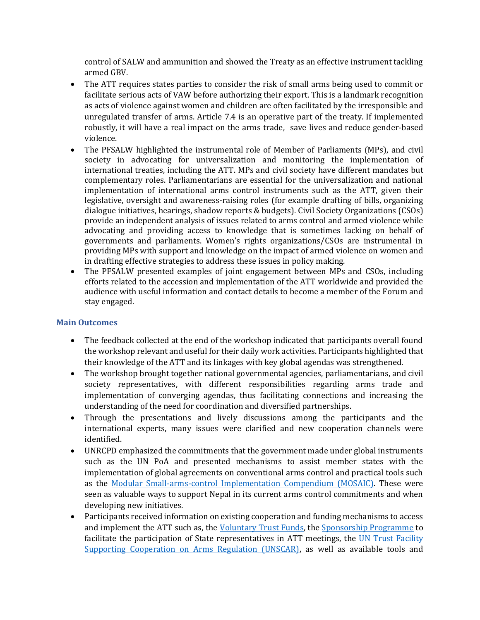control of SALW and ammunition and showed the Treaty as an effective instrument tackling armed GBV.

- The ATT requires states parties to consider the risk of small arms being used to commit or facilitate serious acts of VAW before authorizing their export. This is a landmark recognition as acts of violence against women and children are often facilitated by the irresponsible and unregulated transfer of arms. Article 7.4 is an operative part of the treaty. If implemented robustly, it will have a real impact on the arms trade, save lives and reduce gender-based violence.
- The PFSALW highlighted the instrumental role of Member of Parliaments (MPs), and civil society in advocating for universalization and monitoring the implementation of international treaties, including the ATT. MPs and civil society have different mandates but complementary roles. Parliamentarians are essential for the universalization and national implementation of international arms control instruments such as the ATT, given their legislative, oversight and awareness-raising roles (for example drafting of bills, organizing dialogue initiatives, hearings, shadow reports & budgets). Civil Society Organizations (CSOs) provide an independent analysis of issues related to arms control and armed violence while advocating and providing access to knowledge that is sometimes lacking on behalf of governments and parliaments. Women's rights organizations/CSOs are instrumental in providing MPs with support and knowledge on the impact of armed violence on women and in drafting effective strategies to address these issues in policy making.
- The PFSALW presented examples of joint engagement between MPs and CSOs, including efforts related to the accession and implementation of the ATT worldwide and provided the audience with useful information and contact details to become a member of the Forum and stay engaged.

# **Main Outcomes**

- The feedback collected at the end of the workshop indicated that participants overall found the workshop relevant and useful for their daily work activities. Participants highlighted that their knowledge of the ATT and its linkages with key global agendas was strengthened.
- The workshop brought together national governmental agencies, parliamentarians, and civil society representatives, with different responsibilities regarding arms trade and implementation of converging agendas, thus facilitating connections and increasing the understanding of the need for coordination and diversified partnerships.
- Through the presentations and lively discussions among the participants and the international experts, many issues were clarified and new cooperation channels were identified.
- UNRCPD emphasized the commitments that the government made under global instruments such as the UN PoA and presented mechanisms to assist member states with the implementation of global agreements on conventional arms control and practical tools such as the [Modular Small-arms-control Implementation](https://www.un.org/disarmament/convarms/mosaic/) Compendium (MOSAIC). These were seen as valuable ways to support Nepal in its current arms control commitments and when developing new initiatives.
- Participants received information on existing cooperation and funding mechanisms to access and implement the ATT such as, the [Voluntary Trust Funds,](https://thearmstradetreaty.org/voluntary.html) the [Sponsorship Programme](https://thearmstradetreaty.org/sponsorship-programme.html?templateId=1263166) to facilitate the participation of State representatives in ATT meetings, the UN Trust Facility [Supporting Cooperation on Arms Regulation \(UNSCAR\),](https://www.un.org/disarmament/unscar/) as well as available tools and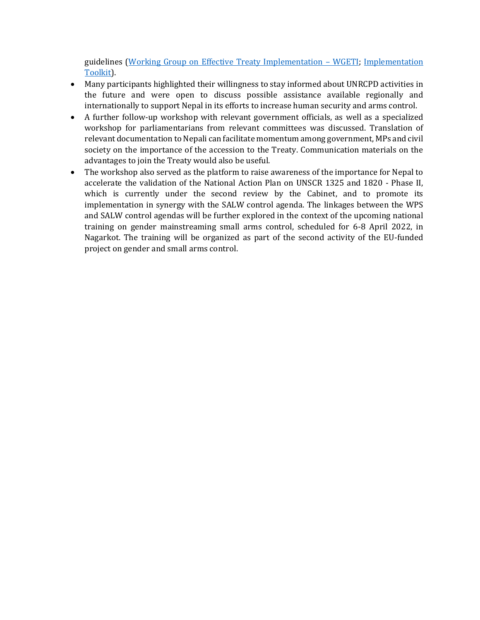guidelines [\(Working Group on Effective Treaty Implementation](https://thearmstradetreaty.org/tools-and-guidelines.html) – WGETI; [Implementation](https://www.un.org/disarmament/convarms/arms-trade-treaty-2/)  [Toolkit\)](https://www.un.org/disarmament/convarms/arms-trade-treaty-2/).

- Many participants highlighted their willingness to stay informed about UNRCPD activities in the future and were open to discuss possible assistance available regionally and internationally to support Nepal in its efforts to increase human security and arms control.
- A further follow-up workshop with relevant government officials, as well as a specialized workshop for parliamentarians from relevant committees was discussed. Translation of relevant documentation to Nepali can facilitate momentum among government, MPs and civil society on the importance of the accession to the Treaty. Communication materials on the advantages to join the Treaty would also be useful.
- The workshop also served as the platform to raise awareness of the importance for Nepal to accelerate the validation of the National Action Plan on UNSCR 1325 and 1820 - Phase II, which is currently under the second review by the Cabinet, and to promote its implementation in synergy with the SALW control agenda. The linkages between the WPS and SALW control agendas will be further explored in the context of the upcoming national training on gender mainstreaming small arms control, scheduled for 6-8 April 2022, in Nagarkot. The training will be organized as part of the second activity of the EU-funded project on gender and small arms control.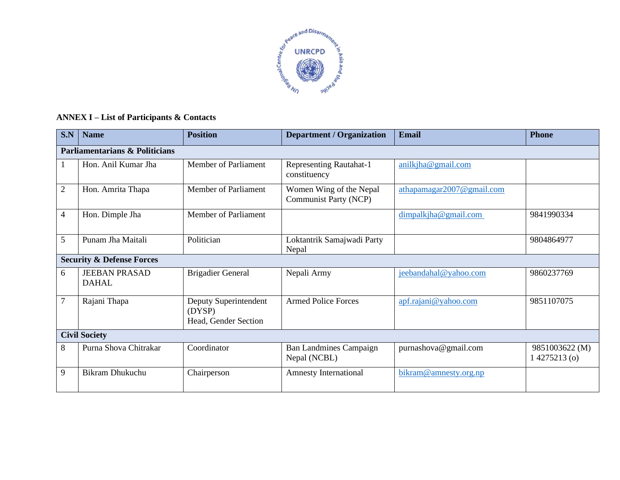

# **ANNEX I – List of Participants & Contacts**

| S.N                                       | <b>Name</b>                          | <b>Position</b>                                         | <b>Department / Organization</b>                 | <b>Email</b>              | <b>Phone</b>                     |  |  |  |
|-------------------------------------------|--------------------------------------|---------------------------------------------------------|--------------------------------------------------|---------------------------|----------------------------------|--|--|--|
| <b>Parliamentarians &amp; Politicians</b> |                                      |                                                         |                                                  |                           |                                  |  |  |  |
|                                           | Hon. Anil Kumar Jha                  | <b>Member of Parliament</b>                             | <b>Representing Rautahat-1</b><br>constituency   | anilkjha@gmail.com        |                                  |  |  |  |
| $\mathfrak{2}$                            | Hon. Amrita Thapa                    | Member of Parliament                                    | Women Wing of the Nepal<br>Communist Party (NCP) | athapamagar2007@gmail.com |                                  |  |  |  |
| $\overline{4}$                            | Hon. Dimple Jha                      | Member of Parliament                                    |                                                  | dimpalkiha@gmail.com      | 9841990334                       |  |  |  |
| 5                                         | Punam Jha Maitali                    | Politician                                              | Loktantrik Samajwadi Party<br>Nepal              |                           | 9804864977                       |  |  |  |
| <b>Security &amp; Defense Forces</b>      |                                      |                                                         |                                                  |                           |                                  |  |  |  |
| 6                                         | <b>JEEBAN PRASAD</b><br><b>DAHAL</b> | <b>Brigadier General</b>                                | Nepali Army                                      | jeebandahal@yahoo.com     | 9860237769                       |  |  |  |
| $\overline{7}$                            | Rajani Thapa                         | Deputy Superintendent<br>(DYSP)<br>Head, Gender Section | <b>Armed Police Forces</b>                       | apf.rajani@yahoo.com      | 9851107075                       |  |  |  |
| <b>Civil Society</b>                      |                                      |                                                         |                                                  |                           |                                  |  |  |  |
| 8                                         | Purna Shova Chitrakar                | Coordinator                                             | <b>Ban Landmines Campaign</b><br>Nepal (NCBL)    | purnashova@gmail.com      | 9851003622 (M)<br>$14275213$ (o) |  |  |  |
| 9                                         | <b>Bikram Dhukuchu</b>               | Chairperson                                             | <b>Amnesty International</b>                     | bikram@amnesty.org.np     |                                  |  |  |  |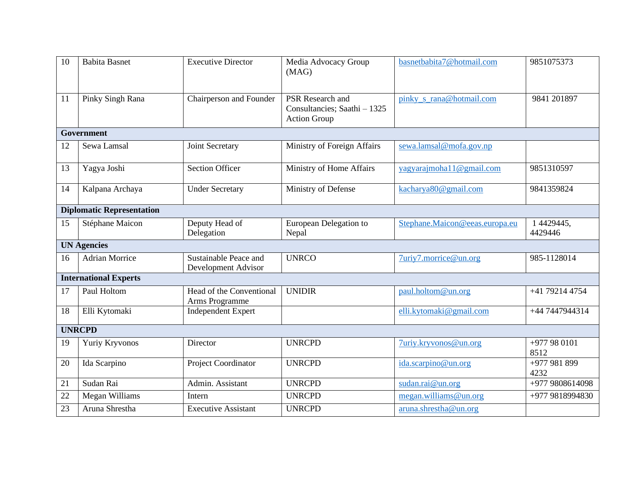| 10                               | <b>Babita Basnet</b>         | <b>Executive Director</b>                    | Media Advocacy Group<br>(MAG)                                           | basnetbabita7@hotmail.com      | 9851075373            |  |  |  |
|----------------------------------|------------------------------|----------------------------------------------|-------------------------------------------------------------------------|--------------------------------|-----------------------|--|--|--|
| 11                               | Pinky Singh Rana             | Chairperson and Founder                      | PSR Research and<br>Consultancies; Saathi - 1325<br><b>Action Group</b> | pinky_s_rana@hotmail.com       | 9841 201897           |  |  |  |
| <b>Government</b>                |                              |                                              |                                                                         |                                |                       |  |  |  |
| 12                               | Sewa Lamsal                  | Joint Secretary                              | Ministry of Foreign Affairs                                             | sewa.lamsal@mofa.gov.np        |                       |  |  |  |
| 13                               | Yagya Joshi                  | <b>Section Officer</b>                       | Ministry of Home Affairs                                                | yagyarajmoha11@gmail.com       | 9851310597            |  |  |  |
| 14                               | Kalpana Archaya              | <b>Under Secretary</b>                       | Ministry of Defense                                                     | kacharya80@gmail.com           | 9841359824            |  |  |  |
| <b>Diplomatic Representation</b> |                              |                                              |                                                                         |                                |                       |  |  |  |
| 15                               | Stéphane Maicon              | Deputy Head of<br>Delegation                 | European Delegation to<br>Nepal                                         | Stephane.Maicon@eeas.europa.eu | 1 4429445,<br>4429446 |  |  |  |
| <b>UN Agencies</b>               |                              |                                              |                                                                         |                                |                       |  |  |  |
| 16                               | Adrian Morrice               | Sustainable Peace and<br>Development Advisor | <b>UNRCO</b>                                                            | 7uriy7.morrice@un.org          | 985-1128014           |  |  |  |
|                                  | <b>International Experts</b> |                                              |                                                                         |                                |                       |  |  |  |
| 17                               | Paul Holtom                  | Head of the Conventional<br>Arms Programme   | <b>UNIDIR</b>                                                           | paul.holtom@un.org             | +41 79214 4754        |  |  |  |
| 18                               | Elli Kytomaki                | <b>Independent Expert</b>                    |                                                                         | elli.kytomaki@gmail.com        | +44 7447944314        |  |  |  |
| <b>UNRCPD</b>                    |                              |                                              |                                                                         |                                |                       |  |  |  |
| 19                               | Yuriy Kryvonos               | Director                                     | <b>UNRCPD</b>                                                           | 7uriy.kryvonos@un.org          | +977 98 0101<br>8512  |  |  |  |
| 20                               | Ida Scarpino                 | Project Coordinator                          | <b>UNRCPD</b>                                                           | ida.scarpino@un.org            | +977 981 899<br>4232  |  |  |  |
| 21                               | Sudan Rai                    | Admin. Assistant                             | <b>UNRCPD</b>                                                           | sudan.rai@un.org               | +977 9808614098       |  |  |  |
| 22                               | Megan Williams               | Intern                                       | <b>UNRCPD</b>                                                           | megan.williams@un.org          | +977 9818994830       |  |  |  |
| 23                               | Aruna Shrestha               | <b>Executive Assistant</b>                   | <b>UNRCPD</b>                                                           | aruna.shrestha@un.org          |                       |  |  |  |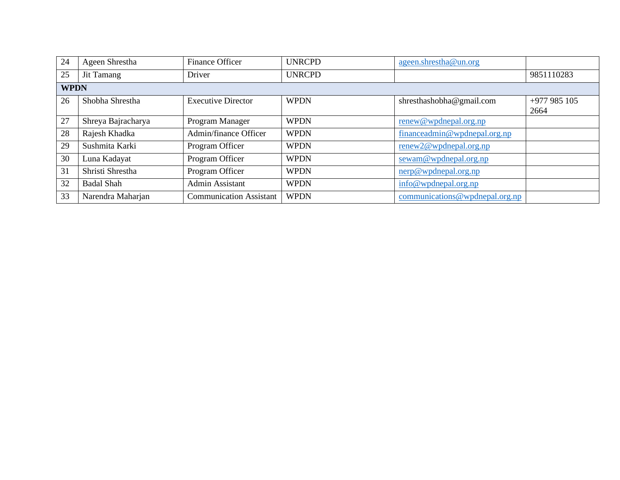| 24          | Ageen Shrestha     | <b>Finance Officer</b>         | <b>UNRCPD</b> | ageen.shrestha@un.org                   |              |  |  |  |
|-------------|--------------------|--------------------------------|---------------|-----------------------------------------|--------------|--|--|--|
| 25          | Jit Tamang         | Driver                         | <b>UNRCPD</b> |                                         | 9851110283   |  |  |  |
| <b>WPDN</b> |                    |                                |               |                                         |              |  |  |  |
| 26          | Shobha Shrestha    | <b>Executive Director</b>      | <b>WPDN</b>   | shresthashobha@gmail.com                | $+977985105$ |  |  |  |
|             |                    |                                |               |                                         | 2664         |  |  |  |
| 27          | Shreya Bajracharya | Program Manager                | <b>WPDN</b>   | renew@wpdnepal.org.np                   |              |  |  |  |
| 28          | Rajesh Khadka      | Admin/finance Officer          | <b>WPDN</b>   | financeadmin@wpdnepal.org.np            |              |  |  |  |
| 29          | Sushmita Karki     | Program Officer                | <b>WPDN</b>   | renew2@wpdnepal.org.np                  |              |  |  |  |
| 30          | Luna Kadayat       | Program Officer                | <b>WPDN</b>   | $\frac{\text{sewam@wpdnepal.org,np}}{}$ |              |  |  |  |
| 31          | Shristi Shrestha   | Program Officer                | <b>WPDN</b>   | nerp@wpdnepal.org.np                    |              |  |  |  |
| 32          | <b>Badal Shah</b>  | Admin Assistant                | <b>WPDN</b>   | info@wpdnepal.org,np                    |              |  |  |  |
| 33          | Narendra Maharjan  | <b>Communication Assistant</b> | <b>WPDN</b>   | communications @wpdnepal.org,np         |              |  |  |  |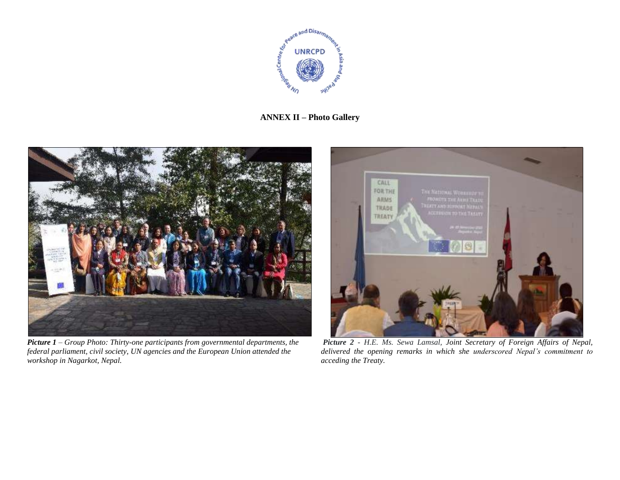

## **ANNEX II – Photo Gallery**



*Picture 1 – Group Photo: Thirty-one participants from governmental departments, the federal parliament, civil society, UN agencies and the European Union attended the workshop in Nagarkot, Nepal.*



*Picture 2 - H.E. Ms. Sewa Lamsal, Joint Secretary of Foreign Affairs of Nepal, delivered the opening remarks in which she underscored Nepal's commitment to acceding the Treaty.*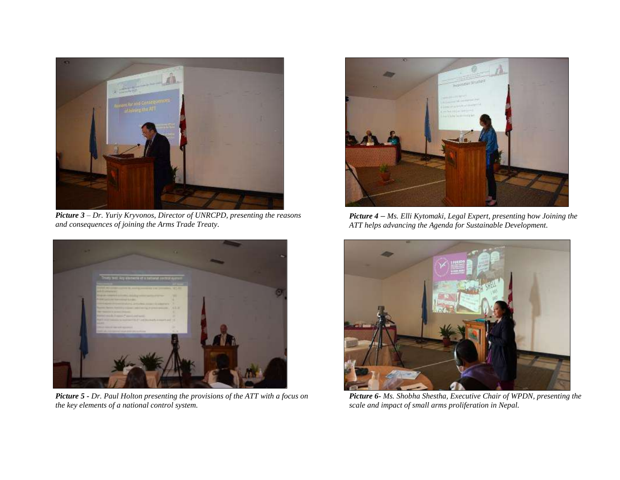

*Picture 3 – Dr. Yuriy Kryvonos, Director of UNRCPD, presenting the reasons and consequences of joining the Arms Trade Treaty.* 



*Picture 5 - Dr. Paul Holton presenting the provisions of the ATT with a focus on the key elements of a national control system.* 



*Picture 4 – Ms. Elli Kytomaki, Legal Expert, presenting* h*ow Joining the ATT helps advancing the Agenda for Sustainable Development.* 



*Picture 6- Ms. Shobha Shestha, Executive Chair of WPDN, presenting the scale and impact of small arms proliferation in Nepal.*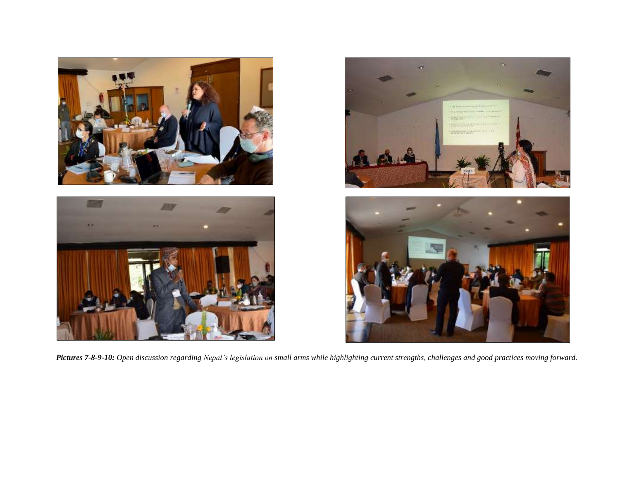





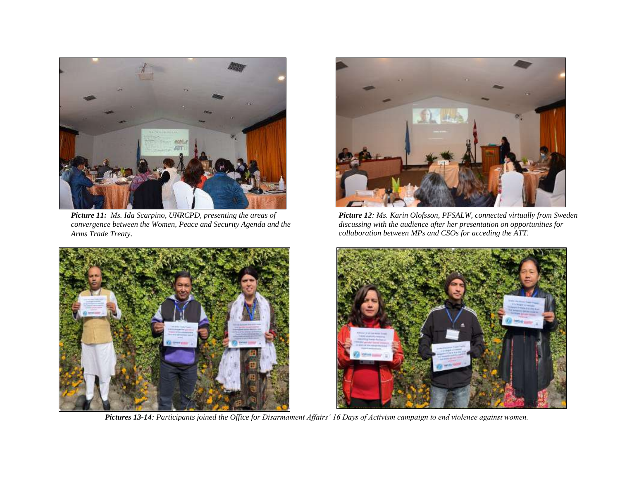

*Picture 11: Ms. Ida Scarpino, UNRCPD, presenting the areas of convergence between the Women, Peace and Security Agenda and the Arms Trade Treaty.*



*Pictures 13-14: Participants joined the Office for Disarmament Affairs' 16 Days of Activism campaign to end violence against women.*



*Picture 12: Ms. Karin Olofsson, PFSALW, connected virtually from Sweden discussing with the audience after her presentation on opportunities for collaboration between MPs and CSOs for acceding the ATT.*